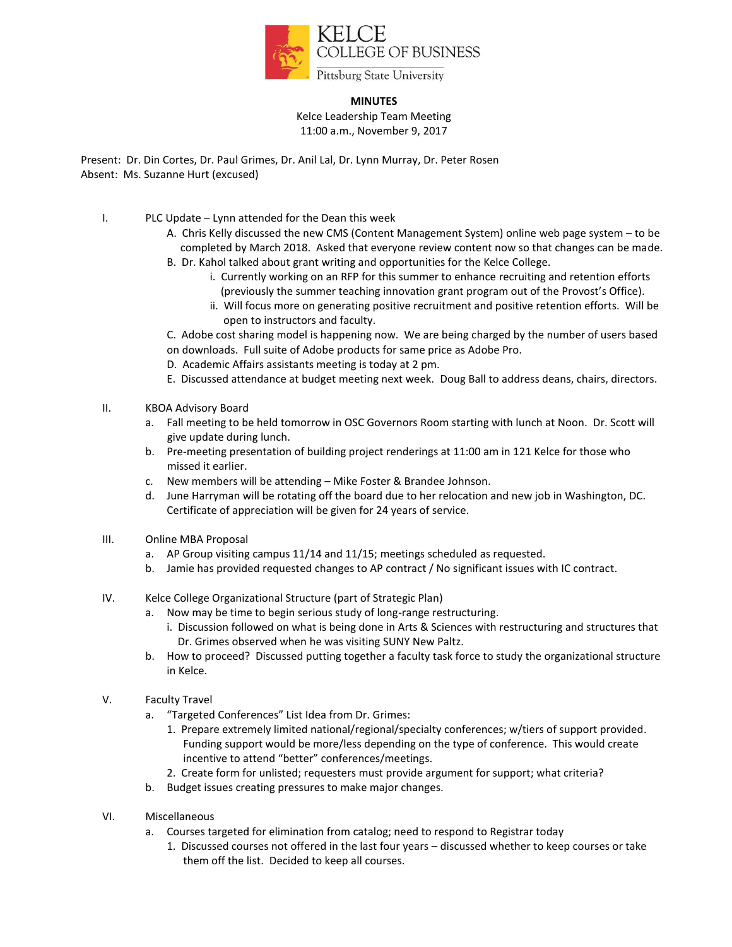

## **MINUTES**

Kelce Leadership Team Meeting 11:00 a.m., November 9, 2017

Present: Dr. Din Cortes, Dr. Paul Grimes, Dr. Anil Lal, Dr. Lynn Murray, Dr. Peter Rosen Absent: Ms. Suzanne Hurt (excused)

- I. PLC Update Lynn attended for the Dean this week
	- A. Chris Kelly discussed the new CMS (Content Management System) online web page system to be completed by March 2018. Asked that everyone review content now so that changes can be made.
	- B. Dr. Kahol talked about grant writing and opportunities for the Kelce College.
		- i. Currently working on an RFP for this summer to enhance recruiting and retention efforts (previously the summer teaching innovation grant program out of the Provost's Office).
		- ii. Will focus more on generating positive recruitment and positive retention efforts. Will be open to instructors and faculty.

C. Adobe cost sharing model is happening now. We are being charged by the number of users based on downloads. Full suite of Adobe products for same price as Adobe Pro.

- D. Academic Affairs assistants meeting is today at 2 pm.
- E. Discussed attendance at budget meeting next week. Doug Ball to address deans, chairs, directors.
- II. KBOA Advisory Board
	- a. Fall meeting to be held tomorrow in OSC Governors Room starting with lunch at Noon. Dr. Scott will give update during lunch.
	- b. Pre-meeting presentation of building project renderings at 11:00 am in 121 Kelce for those who missed it earlier.
	- c. New members will be attending Mike Foster & Brandee Johnson.
	- d. June Harryman will be rotating off the board due to her relocation and new job in Washington, DC. Certificate of appreciation will be given for 24 years of service.
- III. Online MBA Proposal
	- a. AP Group visiting campus 11/14 and 11/15; meetings scheduled as requested.
	- b. Jamie has provided requested changes to AP contract / No significant issues with IC contract.
- IV. Kelce College Organizational Structure (part of Strategic Plan)
	- a. Now may be time to begin serious study of long-range restructuring.
		- i. Discussion followed on what is being done in Arts & Sciences with restructuring and structures that Dr. Grimes observed when he was visiting SUNY New Paltz.
	- b. How to proceed? Discussed putting together a faculty task force to study the organizational structure in Kelce.
- V. Faculty Travel
	- a. "Targeted Conferences" List Idea from Dr. Grimes:
		- 1. Prepare extremely limited national/regional/specialty conferences; w/tiers of support provided. Funding support would be more/less depending on the type of conference. This would create incentive to attend "better" conferences/meetings.
		- 2. Create form for unlisted; requesters must provide argument for support; what criteria?
	- b. Budget issues creating pressures to make major changes.
- VI. Miscellaneous
	- a. Courses targeted for elimination from catalog; need to respond to Registrar today
		- 1. Discussed courses not offered in the last four years discussed whether to keep courses or take them off the list. Decided to keep all courses.